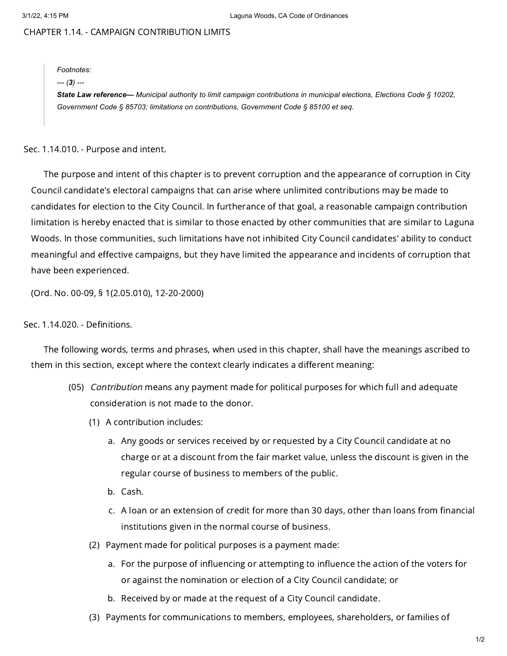# CHAPTER 1.14. - CAMPAIGN CONTRIBUTION LIMITS

#### *Footnotes:*

### *--- (3) ---*

State Law reference— Municipal authority to limit campaign contributions in municipal elections, Elections Code § 10202, *Government Code § 85703; limitations on contributions, Government Code § 85100 et seq.*

Sec. 1.14.010. - Purpose and intent.

The purpose and intent of this chapter is to prevent corruption and the appearance of corruption in City Council candidate's electoral campaigns that can arise where unlimited contributions may be made to candidates for election to the City Council. In furtherance of that goal, a reasonable campaign contribution limitation is hereby enacted that is similar to those enacted by other communities that are similar to Laguna Woods. In those communities, such limitations have not inhibited City Council candidates' ability to conduct meaningful and effective campaigns, but they have limited the appearance and incidents of corruption that have been experienced.

(Ord. No. 00-09, § 1(2.05.010), 12-20-2000)

## Sec. 1.14.020. - Definitions.

The following words, terms and phrases, when used in this chapter, shall have the meanings ascribed to them in this section, except where the context clearly indicates a different meaning:

- (05) *Contribution* means any payment made for political purposes for which full and adequate consideration is not made to the donor.
	- (1) A contribution includes:
		- a. Any goods or services received by or requested by a City Council candidate at no charge or at a discount from the fair market value, unless the discount is given in the regular course of business to members of the public.
		- b. Cash.
		- c. A loan or an extension of credit for more than 30 days, other than loans from financial institutions given in the normal course of business.
	- (2) Payment made for political purposes is a payment made:
		- a. For the purpose of influencing or attempting to influence the action of the voters for or against the nomination or election of a City Council candidate; or
		- b. Received by or made at the request of a City Council candidate.
	- (3) Payments for communications to members, employees, shareholders, or families of